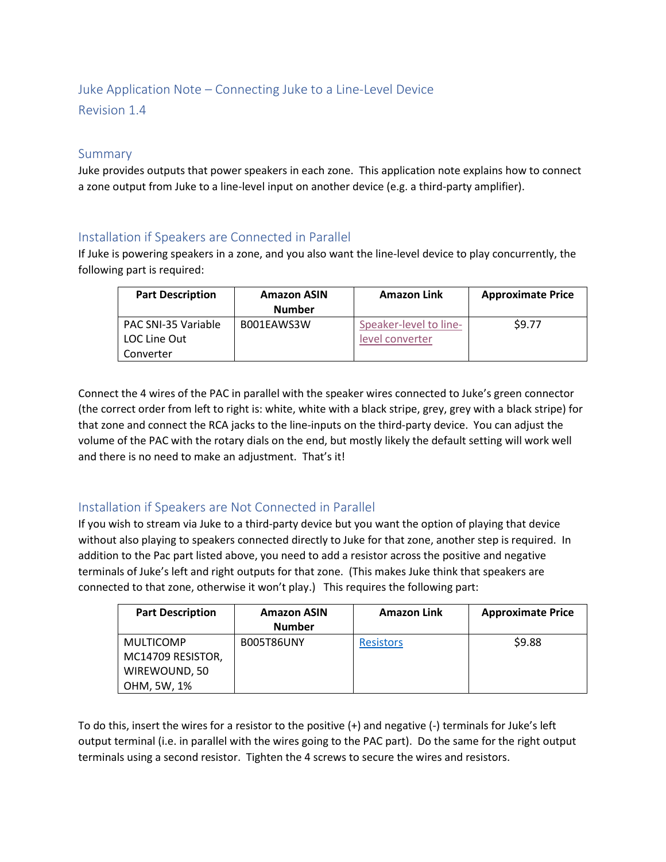## Juke Application Note – Connecting Juke to a Line-Level Device

Revision 1.4

## Summary

Juke provides outputs that power speakers in each zone. This application note explains how to connect a zone output from Juke to a line-level input on another device (e.g. a third-party amplifier).

## Installation if Speakers are Connected in Parallel

If Juke is powering speakers in a zone, and you also want the line-level device to play concurrently, the following part is required:

| <b>Part Description</b> | <b>Amazon ASIN</b><br><b>Number</b> | <b>Amazon Link</b>     | <b>Approximate Price</b> |
|-------------------------|-------------------------------------|------------------------|--------------------------|
| PAC SNI-35 Variable     | B001EAWS3W                          | Speaker-level to line- | \$9.77                   |
| LOC Line Out            |                                     | level converter        |                          |
| Converter               |                                     |                        |                          |

Connect the 4 wires of the PAC in parallel with the speaker wires connected to Juke's green connector (the correct order from left to right is: white, white with a black stripe, grey, grey with a black stripe) for that zone and connect the RCA jacks to the line-inputs on the third-party device. You can adjust the volume of the PAC with the rotary dials on the end, but mostly likely the default setting will work well and there is no need to make an adjustment. That's it!

## Installation if Speakers are Not Connected in Parallel

If you wish to stream via Juke to a third-party device but you want the option of playing that device without also playing to speakers connected directly to Juke for that zone, another step is required. In addition to the Pac part listed above, you need to add a resistor across the positive and negative terminals of Juke's left and right outputs for that zone. (This makes Juke think that speakers are connected to that zone, otherwise it won't play.) This requires the following part:

| <b>Part Description</b>               | <b>Amazon ASIN</b><br><b>Number</b> | <b>Amazon Link</b> | <b>Approximate Price</b> |
|---------------------------------------|-------------------------------------|--------------------|--------------------------|
| <b>MULTICOMP</b><br>MC14709 RESISTOR, | B005T86UNY                          | <b>Resistors</b>   | \$9.88                   |
| WIREWOUND, 50                         |                                     |                    |                          |
| OHM, 5W, 1%                           |                                     |                    |                          |

To do this, insert the wires for a resistor to the positive (+) and negative (-) terminals for Juke's left output terminal (i.e. in parallel with the wires going to the PAC part). Do the same for the right output terminals using a second resistor. Tighten the 4 screws to secure the wires and resistors.